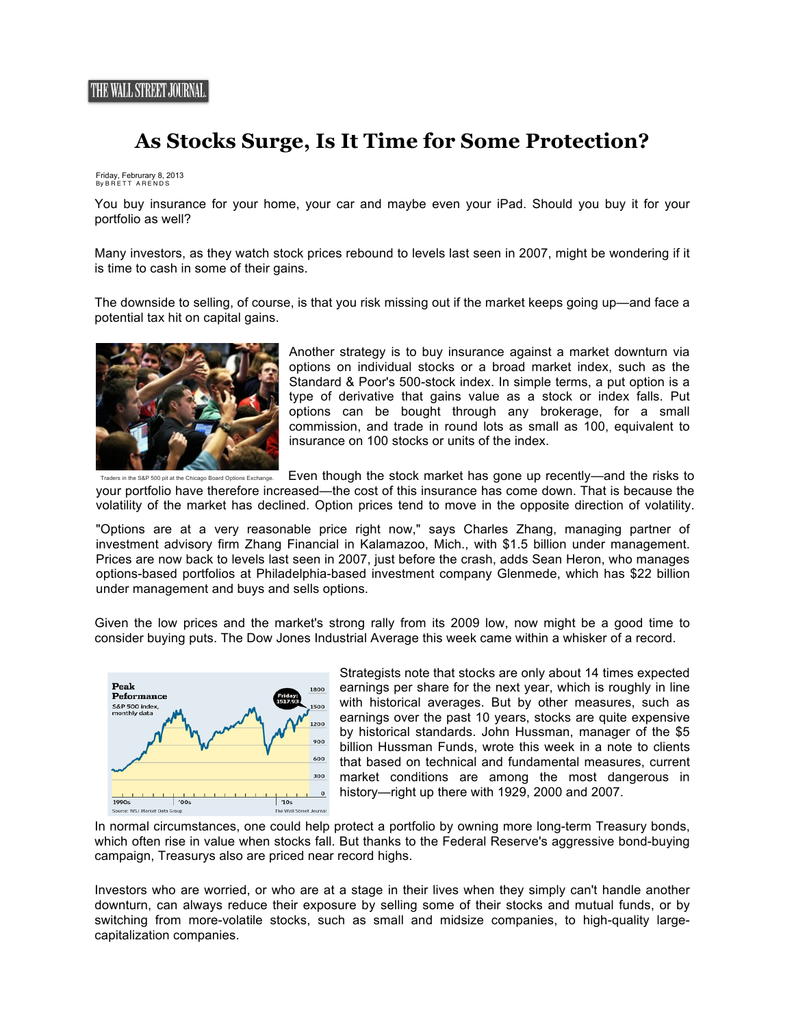## **As Stocks Surge, Is It Time for Some Protection?**

## Friday, Februrary 8, 2013 By BRETT ARENDS

You buy insurance for your home, your car and maybe even your iPad. Should you buy it for your portfolio as well?

Many investors, as they watch stock prices rebound to levels last seen in 2007, might be wondering if it is time to cash in some of their gains.

The downside to selling, of course, is that you risk missing out if the market keeps going up—and face a potential tax hit on capital gains.



Another strategy is to buy insurance against a market downturn via options on individual stocks or a broad market index, such as the Standard & Poor's 500-stock index. In simple terms, a put option is a type of derivative that gains value as a stock or index falls. Put options can be bought through any brokerage, for a small commission, and trade in round lots as small as 100, equivalent to insurance on 100 stocks or units of the index.

rs in the S&P 500 pit at the Chicago Board Options Exchange. Even though the stock market has gone up recently—and the risks to your portfolio have therefore increased—the cost of this insurance has come down. That is because the volatility of the market has declined. Option prices tend to move in the opposite direction of volatility.

"Options are at a very reasonable price right now," says Charles Zhang, managing partner of investment advisory firm Zhang Financial in Kalamazoo, Mich., with \$1.5 billion under management. Prices are now back to levels last seen in 2007, just before the crash, adds Sean Heron, who manages options-based portfolios at Philadelphia-based investment company Glenmede, which has \$22 billion under management and buys and sells options.

Given the low prices and the market's strong rally from its 2009 low, now might be a good time to consider buying puts. The Dow Jones Industrial Average this week came within a whisker of a record.



Strategists note that stocks are only about 14 times expected earnings per share for the next year, which is roughly in line with historical averages. But by other measures, such as earnings over the past 10 years, stocks are quite expensive by historical standards. John Hussman, manager of the \$5 billion Hussman Funds, wrote this week in a note to clients that based on technical and fundamental measures, current market conditions are among the most dangerous in history—right up there with 1929, 2000 and 2007.

In normal circumstances, one could help protect a portfolio by owning more long-term Treasury bonds, which often rise in value when stocks fall. But thanks to the Federal Reserve's aggressive bond-buying campaign, Treasurys also are priced near record highs.

Investors who are worried, or who are at a stage in their lives when they simply can't handle another downturn, can always reduce their exposure by selling some of their stocks and mutual funds, or by switching from more-volatile stocks, such as small and midsize companies, to high-quality largecapitalization companies.